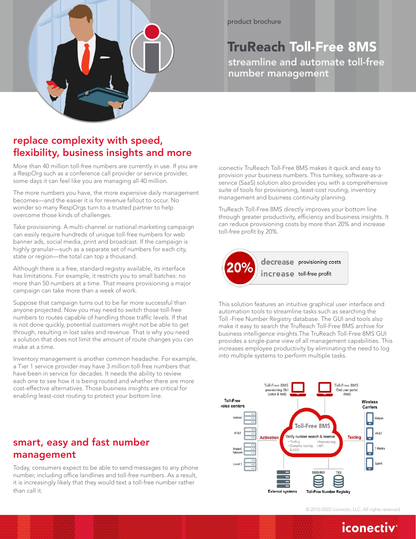

# TruReach Toll-Free 8MS

streamline and automate toll-free number management

### replace complexity with speed, flexibility, business insights and more

More than 40 million toll-free numbers are currently in use. If you are a RespOrg such as a conference call provider or service provider, some days it can feel like you are managing all 40 million.

The more numbers you have, the more expensive daily management becomes—and the easier it is for revenue fallout to occur. No wonder so many RespOrgs turn to a trusted partner to help overcome those kinds of challenges.

Take provisioning. A multi-channel or national marketing campaign can easily require hundreds of unique toll-free numbers for web banner ads, social media, print and broadcast. If the campaign is highly granular—such as a separate set of numbers for each city, state or region—the total can top a thousand.

Although there is a free, standard registry available, its interface has limitations. For example, it restricts you to small batches: no more than 50 numbers at a time. That means provisioning a major campaign can take more than a week of work.

Suppose that campaign turns out to be far more successful than anyone projected. Now you may need to switch those toll-free numbers to routes capable of handling those traffic levels. If that is not done quickly, potential customers might not be able to get through, resulting in lost sales and revenue. That is why you need a solution that does not limit the amount of route changes you can make at a time.

Inventory management is another common headache. For example, a Tier 1 service provider may have 3 million toll-free numbers that have been in service for decades. It needs the ability to review each one to see how it is being routed and whether there are more cost-effective alternatives. Those business insights are critical for enabling least-cost routing to protect your bottom line.

### smart, easy and fast number management

Today, consumers expect to be able to send messages to any phone number, including office landlines and toll-free numbers. As a result, it is increasingly likely that they would text a toll-free number rather than call it.

iconectiv TruReach Toll-Free 8MS makes it quick and easy to provision your business numbers. This turnkey, software-as-aservice (SaaS) solution also provides you with a comprehensive suite of tools for provisioning, least-cost routing, inventory management and business continuity planning.

TruReach Toll-Free 8MS directly improves your bottom line through greater productivity, efficiency and business insights. It can reduce provisioning costs by more than 20% and increase toll-free profit by 20%.



This solution features an intuitive graphical user interface and automation tools to streamline tasks such as searching the Toll -Free Number Registry database. The GUI and tools also make it easy to search the TruReach Toll-Free 8MS archive for business intelligence insights.The TruReach Toll-Free 8MS GUI provides a single-pane view of all management capabilities. This increases employee productivity by eliminating the need to log into multiple systems to perform multiple tasks.



© 2010-2022 iconectiv, LLC. All rights reserved.

## iconectiv